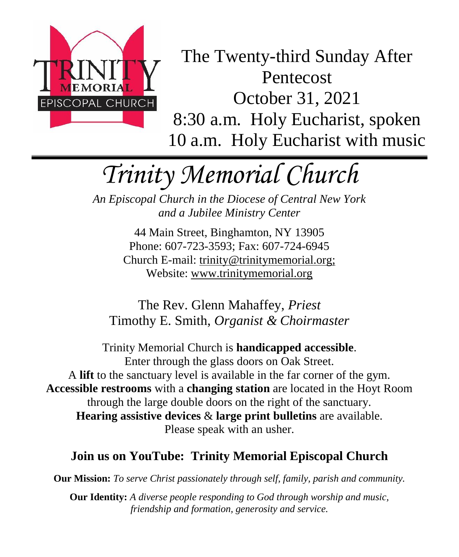

The Twenty-third Sunday After Pentecost October 31, 2021 8:30 a.m. Holy Eucharist, spoken 10 a.m. Holy Eucharist with music

# *Trinity Memorial Church*

*An Episcopal Church in the Diocese of Central New York and a Jubilee Ministry Center*

> 44 Main Street, Binghamton, NY 13905 Phone: 607-723-3593; Fax: 607-724-6945 Church E-mail: trinity@trinitymemorial.org; Website: www.trinitymemorial.org

The Rev. Glenn Mahaffey, *Priest* Timothy E. Smith, *Organist & Choirmaster* 

Trinity Memorial Church is **handicapped accessible**. Enter through the glass doors on Oak Street. A **lift** to the sanctuary level is available in the far corner of the gym. **Accessible restrooms** with a **changing station** are located in the Hoyt Room through the large double doors on the right of the sanctuary. **Hearing assistive devices** & **large print bulletins** are available. Please speak with an usher.

### **Join us on YouTube: Trinity Memorial Episcopal Church**

**Our Mission:** *To serve Christ passionately through self, family, parish and community.*

**Our Identity:** *A diverse people responding to God through worship and music, friendship and formation, generosity and service.*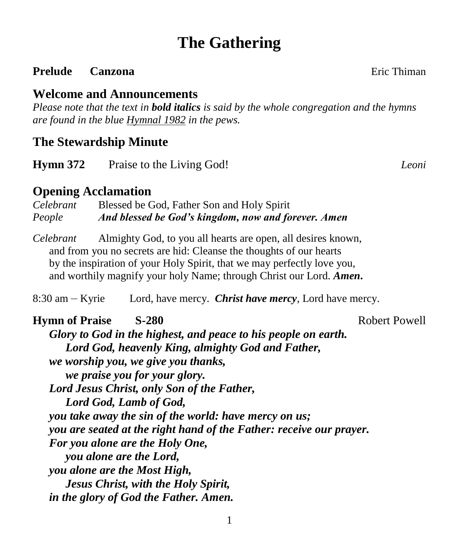## **The Gathering**

### Prelude Canzona **Existence** Canzona **Existence** Canzona **Existence** Existence Canzona

### **Welcome and Announcements**

*Please note that the text in bold italics is said by the whole congregation and the hymns are found in the blue Hymnal 1982 in the pews.*

### **The Stewardship Minute**

**Hymn 372** Praise to the Living God! *Leoni*

### **Opening Acclamation**

| People    | And blessed be God's kingdom, now and forever. Amen |
|-----------|-----------------------------------------------------|
| Celebrant | Blessed be God, Father Son and Holy Spirit          |

*Celebrant* Almighty God, to you all hearts are open, all desires known, and from you no secrets are hid: Cleanse the thoughts of our hearts by the inspiration of your Holy Spirit, that we may perfectly love you, and worthily magnify your holy Name; through Christ our Lord. *Amen***.**

8:30 am – Kyrie Lord, have mercy. *Christ have mercy,* Lord have mercy.

### **Hymn of Praise S-280** Robert Powell *Glory to God in the highest, and peace to his people on earth.*

*Lord God, heavenly King, almighty God and Father, we worship you, we give you thanks, we praise you for your glory. Lord Jesus Christ, only Son of the Father, Lord God, Lamb of God, you take away the sin of the world: have mercy on us; you are seated at the right hand of the Father: receive our prayer. For you alone are the Holy One, you alone are the Lord, you alone are the Most High, Jesus Christ, with the Holy Spirit, in the glory of God the Father. Amen.*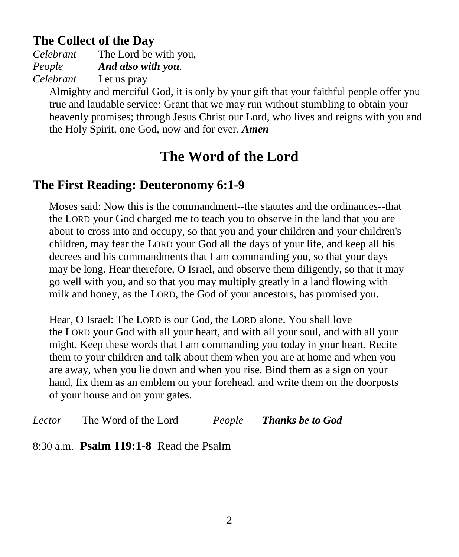### **The Collect of the Day**

*Celebrant* The Lord be with you, *People And also with you. Celebrant* Let us pray

> Almighty and merciful God, it is only by your gift that your faithful people offer you true and laudable service: Grant that we may run without stumbling to obtain your heavenly promises; through Jesus Christ our Lord, who lives and reigns with you and the Holy Spirit, one God, now and for ever. *Amen*

### **The Word of the Lord**

### **The First Reading: Deuteronomy 6:1-9**

Moses said: Now this is the commandment--the statutes and the ordinances--that the LORD your God charged me to teach you to observe in the land that you are about to cross into and occupy, so that you and your children and your children's children, may fear the LORD your God all the days of your life, and keep all his decrees and his commandments that I am commanding you, so that your days may be long. Hear therefore, O Israel, and observe them diligently, so that it may go well with you, and so that you may multiply greatly in a land flowing with milk and honey, as the LORD, the God of your ancestors, has promised you.

Hear, O Israel: The LORD is our God, the LORD alone. You shall love the LORD your God with all your heart, and with all your soul, and with all your might. Keep these words that I am commanding you today in your heart. Recite them to your children and talk about them when you are at home and when you are away, when you lie down and when you rise. Bind them as a sign on your hand, fix them as an emblem on your forehead, and write them on the doorposts of your house and on your gates.

*Lector* The Word of the Lord *People Thanks be to God*

8:30 a.m. **Psalm 119:1-8** Read the Psalm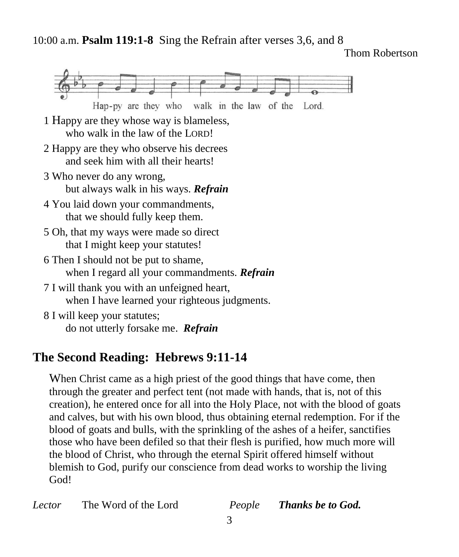10:00 a.m. **Psalm 119:1-8** Sing the Refrain after verses 3,6, and 8

#### Thom Robertson



1 Happy are they whose way is blameless, who walk in the law of the LORD!

2 Happy are they who observe his decrees and seek him with all their hearts!

- 3 Who never do any wrong, but always walk in his ways. *Refrain*
- 4 You laid down your commandments, that we should fully keep them.
- 5 Oh, that my ways were made so direct that I might keep your statutes!
- 6 Then I should not be put to shame, when I regard all your commandments. *Refrain*
- 7 I will thank you with an unfeigned heart, when I have learned your righteous judgments.
- 8 I will keep your statutes; do not utterly forsake me. *Refrain*

### **The Second Reading: Hebrews 9:11-14**

When Christ came as a high priest of the good things that have come, then through the greater and perfect tent (not made with hands, that is, not of this creation), he entered once for all into the Holy Place, not with the blood of goats and calves, but with his own blood, thus obtaining eternal redemption. For if the blood of goats and bulls, with the sprinkling of the ashes of a heifer, sanctifies those who have been defiled so that their flesh is purified, how much more will the blood of Christ, who through the eternal Spirit offered himself without blemish to God, purify our conscience from dead works to worship the living God!

*Lector* The Word of the Lord *People Thanks be to God.*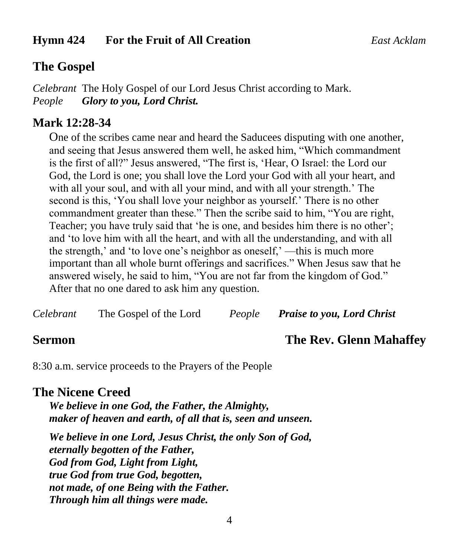### **Hymn 424 For the Fruit of All Creation** *East Acklam*

### **The Gospel**

*Celebrant* The Holy Gospel of our Lord Jesus Christ according to Mark. *People Glory to you, Lord Christ.*

### **Mark 12:28-34**

One of the scribes came near and heard the Saducees disputing with one another, and seeing that Jesus answered them well, he asked him, "Which commandment is the first of all?" Jesus answered, "The first is, 'Hear, O Israel: the Lord our God, the Lord is one; you shall love the Lord your God with all your heart, and with all your soul, and with all your mind, and with all your strength.' The second is this, 'You shall love your neighbor as yourself.' There is no other commandment greater than these." Then the scribe said to him, "You are right, Teacher; you have truly said that 'he is one, and besides him there is no other'; and 'to love him with all the heart, and with all the understanding, and with all the strength,' and 'to love one's neighbor as oneself,' —this is much more important than all whole burnt offerings and sacrifices." When Jesus saw that he answered wisely, he said to him, "You are not far from the kingdom of God." After that no one dared to ask him any question.

| Celebrant | The Gospel of the Lord | People | <b>Praise to you, Lord Christ</b> |
|-----------|------------------------|--------|-----------------------------------|
|-----------|------------------------|--------|-----------------------------------|

### **Sermon The Rev. Glenn Mahaffey**

8:30 a.m. service proceeds to the Prayers of the People

### **The Nicene Creed**

*We believe in one God, the Father, the Almighty, maker of heaven and earth, of all that is, seen and unseen.*

*We believe in one Lord, Jesus Christ, the only Son of God, eternally begotten of the Father, God from God, Light from Light, true God from true God, begotten, not made, of one Being with the Father. Through him all things were made.*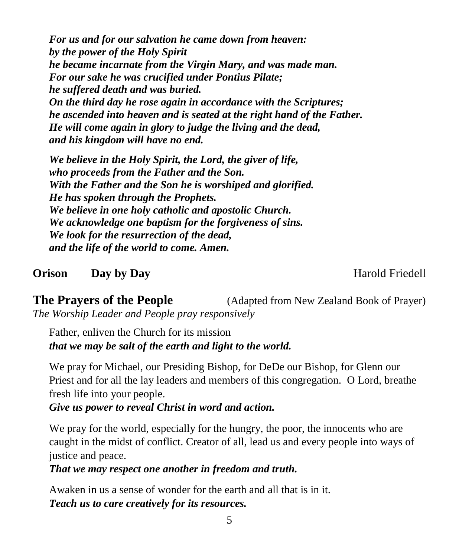*For us and for our salvation he came down from heaven: by the power of the Holy Spirit he became incarnate from the Virgin Mary, and was made man. For our sake he was crucified under Pontius Pilate; he suffered death and was buried. On the third day he rose again in accordance with the Scriptures; he ascended into heaven and is seated at the right hand of the Father. He will come again in glory to judge the living and the dead, and his kingdom will have no end.*

*We believe in the Holy Spirit, the Lord, the giver of life, who proceeds from the Father and the Son. With the Father and the Son he is worshiped and glorified. He has spoken through the Prophets. We believe in one holy catholic and apostolic Church. We acknowledge one baptism for the forgiveness of sins. We look for the resurrection of the dead, and the life of the world to come. Amen.*

**Orison** Day by Day **Exercise 2018** Harold Friedell

**The Prayers of the People** (Adapted from New Zealand Book of Prayer) *The Worship Leader and People pray responsively*

Father, enliven the Church for its mission *that we may be salt of the earth and light to the world.*

We pray for Michael, our Presiding Bishop, for DeDe our Bishop, for Glenn our Priest and for all the lay leaders and members of this congregation. O Lord, breathe fresh life into your people.

*Give us power to reveal Christ in word and action.*

We pray for the world, especially for the hungry, the poor, the innocents who are caught in the midst of conflict. Creator of all, lead us and every people into ways of justice and peace.

#### *That we may respect one another in freedom and truth.*

Awaken in us a sense of wonder for the earth and all that is in it. *Teach us to care creatively for its resources.*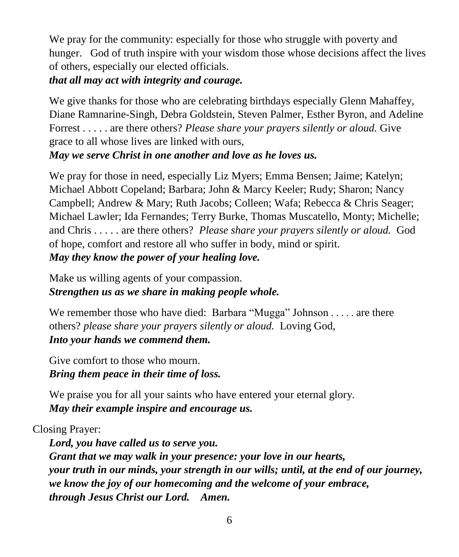We pray for the community: especially for those who struggle with poverty and hunger. God of truth inspire with your wisdom those whose decisions affect the lives of others, especially our elected officials.

*that all may act with integrity and courage.*

We give thanks for those who are celebrating birthdays especially Glenn Mahaffey, Diane Ramnarine-Singh, Debra Goldstein, Steven Palmer, Esther Byron, and Adeline Forrest . . . . . are there others? *Please share your prayers silently or aloud.* Give grace to all whose lives are linked with ours,

*May we serve Christ in one another and love as he loves us.*

We pray for those in need, especially Liz Myers; Emma Bensen; Jaime; Katelyn; Michael Abbott Copeland; Barbara; John & Marcy Keeler; Rudy; Sharon; Nancy Campbell; Andrew & Mary; Ruth Jacobs; Colleen; Wafa; Rebecca & Chris Seager; Michael Lawler; Ida Fernandes; Terry Burke, Thomas Muscatello, Monty; Michelle; and Chris . . . . . are there others? *Please share your prayers silently or aloud.* God of hope, comfort and restore all who suffer in body, mind or spirit. *May they know the power of your healing love.*

Make us willing agents of your compassion. *Strengthen us as we share in making people whole.*

We remember those who have died: Barbara "Mugga" Johnson . . . . . are there others? *please share your prayers silently or aloud.* Loving God, *Into your hands we commend them.*

Give comfort to those who mourn. *Bring them peace in their time of loss.*

We praise you for all your saints who have entered your eternal glory. *May their example inspire and encourage us.*

Closing Prayer:

*Lord, you have called us to serve you. Grant that we may walk in your presence: your love in our hearts, your truth in our minds, your strength in our wills; until, at the end of our journey, we know the joy of our homecoming and the welcome of your embrace, through Jesus Christ our Lord. Amen.*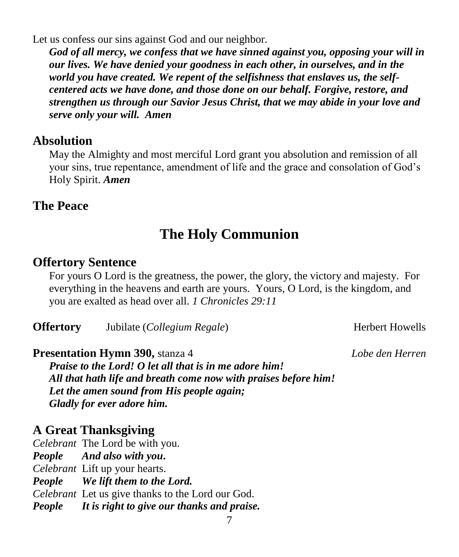Let us confess our sins against God and our neighbor.

*God of all mercy, we confess that we have sinned against you, opposing your will in our lives. We have denied your goodness in each other, in ourselves, and in the world you have created. We repent of the selfishness that enslaves us, the selfcentered acts we have done, and those done on our behalf. Forgive, restore, and strengthen us through our Savior Jesus Christ, that we may abide in your love and serve only your will. Amen*

### **Absolution**

May the Almighty and most merciful Lord grant you absolution and remission of all your sins, true repentance, amendment of life and the grace and consolation of God's Holy Spirit. *Amen*

### **The Peace**

### **The Holy Communion**

### **Offertory Sentence**

For yours O Lord is the greatness, the power, the glory, the victory and majesty. For everything in the heavens and earth are yours. Yours, O Lord, is the kingdom, and you are exalted as head over all. *1 Chronicles 29:11*

**Offertory** Jubilate (*Collegium Regale*) Herbert Howells

**Presentation Hymn 390,** stanza 4 *Lobe den Herren* 

*Praise to the Lord! O let all that is in me adore him! All that hath life and breath come now with praises before him! Let the amen sound from His people again; Gladly for ever adore him.*

### **A Great Thanksgiving**

*Celebrant* The Lord be with you. *People And also with you***.** *Celebrant* Lift up your hearts. *People We lift them to the Lord. Celebrant* Let us give thanks to the Lord our God. *People It is right to give our thanks and praise.*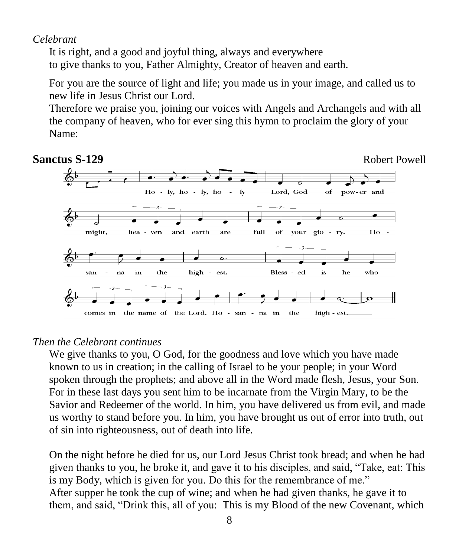#### *Celebrant*

It is right, and a good and joyful thing, always and everywhere to give thanks to you, Father Almighty, Creator of heaven and earth.

For you are the source of light and life; you made us in your image, and called us to new life in Jesus Christ our Lord.

Therefore we praise you, joining our voices with Angels and Archangels and with all the company of heaven, who for ever sing this hymn to proclaim the glory of your Name:



#### *Then the Celebrant continues*

We give thanks to you, O God, for the goodness and love which you have made known to us in creation; in the calling of Israel to be your people; in your Word spoken through the prophets; and above all in the Word made flesh, Jesus, your Son. For in these last days you sent him to be incarnate from the Virgin Mary, to be the Savior and Redeemer of the world. In him, you have delivered us from evil, and made us worthy to stand before you. In him, you have brought us out of error into truth, out of sin into righteousness, out of death into life.

On the night before he died for us, our Lord Jesus Christ took bread; and when he had given thanks to you, he broke it, and gave it to his disciples, and said, "Take, eat: This is my Body, which is given for you. Do this for the remembrance of me." After supper he took the cup of wine; and when he had given thanks, he gave it to them, and said, "Drink this, all of you: This is my Blood of the new Covenant, which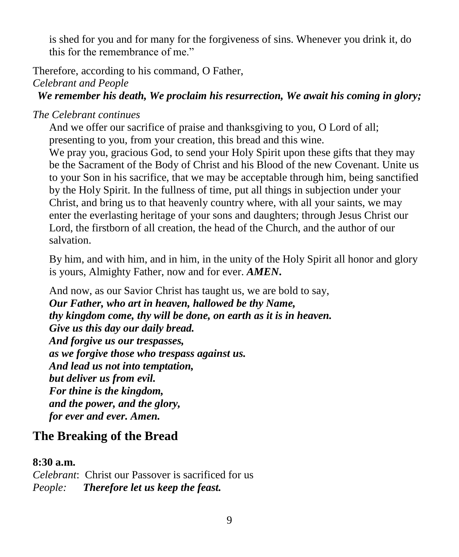is shed for you and for many for the forgiveness of sins. Whenever you drink it, do this for the remembrance of me."

Therefore, according to his command, O Father,

*Celebrant and People*

*We remember his death, We proclaim his resurrection, We await his coming in glory;*

*The Celebrant continues*

And we offer our sacrifice of praise and thanksgiving to you, O Lord of all; presenting to you, from your creation, this bread and this wine. We pray you, gracious God, to send your Holy Spirit upon these gifts that they may be the Sacrament of the Body of Christ and his Blood of the new Covenant. Unite us to your Son in his sacrifice, that we may be acceptable through him, being sanctified by the Holy Spirit. In the fullness of time, put all things in subjection under your Christ, and bring us to that heavenly country where, with all your saints, we may enter the everlasting heritage of your sons and daughters; through Jesus Christ our Lord, the firstborn of all creation, the head of the Church, and the author of our salvation.

By him, and with him, and in him, in the unity of the Holy Spirit all honor and glory is yours, Almighty Father, now and for ever. *AMEN***.**

And now, as our Savior Christ has taught us, we are bold to say, *Our Father, who art in heaven, hallowed be thy Name, thy kingdom come, thy will be done, on earth as it is in heaven. Give us this day our daily bread. And forgive us our trespasses, as we forgive those who trespass against us. And lead us not into temptation, but deliver us from evil. For thine is the kingdom, and the power, and the glory, for ever and ever. Amen.*

### **The Breaking of the Bread**

### **8:30 a.m.**

*Celebrant*: Christ our Passover is sacrificed for us *People: Therefore let us keep the feast.*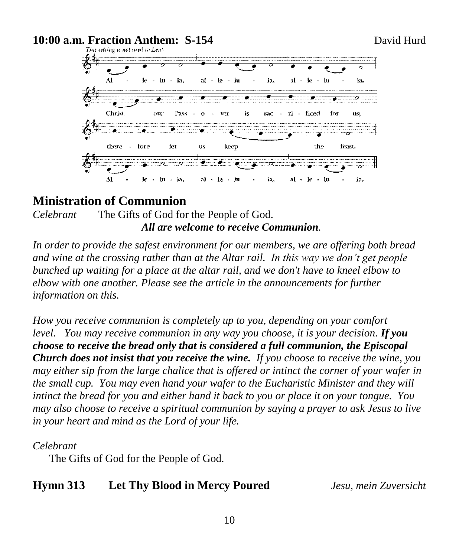## **10:00 a.m. Fraction Anthem: S-154** David Hurd David Hurd



#### **Ministration of Communion**

#### *Celebrant* The Gifts of God for the People of God. *All are welcome to receive Communion.*

*In order to provide the safest environment for our members, we are offering both bread and wine at the crossing rather than at the Altar rail. In this way we don't get people bunched up waiting for a place at the altar rail, and we don't have to kneel elbow to elbow with one another. Please see the article in the announcements for further information on this.*

*How you receive communion is completely up to you, depending on your comfort level. You may receive communion in any way you choose, it is your decision. If you choose to receive the bread only that is considered a full communion, the Episcopal Church does not insist that you receive the wine. If you choose to receive the wine, you may either sip from the large chalice that is offered or intinct the corner of your wafer in the small cup. You may even hand your wafer to the Eucharistic Minister and they will intinct the bread for you and either hand it back to you or place it on your tongue. You may also choose to receive a spiritual communion by saying a prayer to ask Jesus to live in your heart and mind as the Lord of your life.*

#### *Celebrant*

The Gifts of God for the People of God.

### **Hymn 313 Let Thy Blood in Mercy Poured** *Jesu, mein Zuversicht*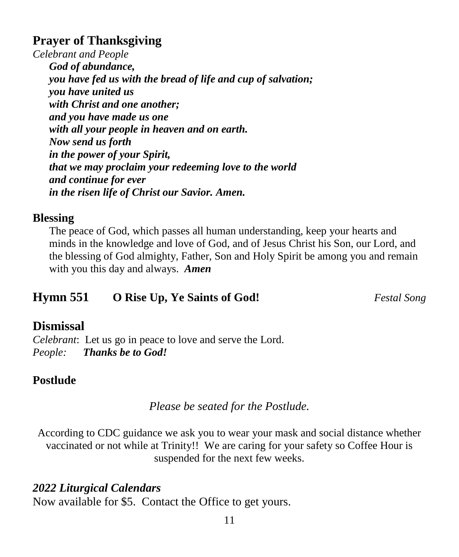### **Prayer of Thanksgiving**

*Celebrant and People God of abundance, you have fed us with the bread of life and cup of salvation; you have united us with Christ and one another; and you have made us one with all your people in heaven and on earth. Now send us forth in the power of your Spirit, that we may proclaim your redeeming love to the world and continue for ever in the risen life of Christ our Savior. Amen.*

### **Blessing**

The peace of God, which passes all human understanding, keep your hearts and minds in the knowledge and love of God, and of Jesus Christ his Son, our Lord, and the blessing of God almighty, Father, Son and Holy Spirit be among you and remain with you this day and always. *Amen*

### **Hymn 551 O Rise Up, Ye Saints of God!** *Festal Song*

### **Dismissal**

*Celebrant*: Let us go in peace to love and serve the Lord. *People: Thanks be to God!* 

### **Postlude**

*Please be seated for the Postlude.*

According to CDC guidance we ask you to wear your mask and social distance whether vaccinated or not while at Trinity!! We are caring for your safety so Coffee Hour is suspended for the next few weeks.

### *2022 Liturgical Calendars*

Now available for \$5. Contact the Office to get yours.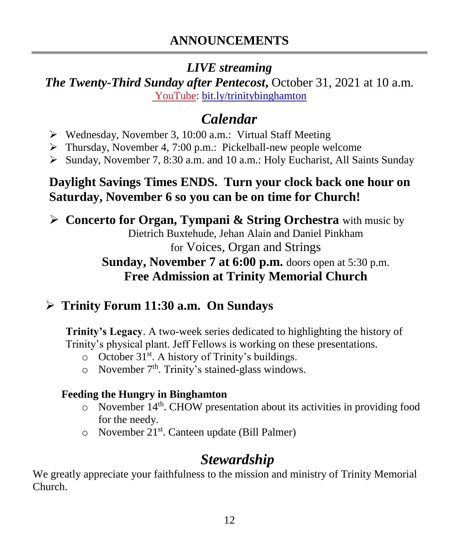### *LIVE streaming*

*The Twenty-Third Sunday after Pentecost***,** October 31, 2021 at 10 a.m. [YouTube:](https://bit.ly/trinitybinghamton) [bit.ly/trinitybinghamton](https://bit.ly/trinitybinghamton)

### *Calendar*

- ➢ Wednesday, November 3, 10:00 a.m.: Virtual Staff Meeting
- ➢ Thursday, November 4, 7:00 p.m.: Pickelball-new people welcome
- ➢ Sunday, November 7, 8:30 a.m. and 10 a.m.: Holy Eucharist, All Saints Sunday

### **Daylight Savings Times ENDS. Turn your clock back one hour on Saturday, November 6 so you can be on time for Church!**

➢ **Concerto for Organ, Tympani & String Orchestra** with music by Dietrich Buxtehude, Jehan Alain and Daniel Pinkham for Voices, Organ and Strings **Sunday, November 7 at 6:00 p.m.** doors open at 5:30 p.m. **Free Admission at Trinity Memorial Church**

### ➢ **Trinity Forum 11:30 a.m. On Sundays**

**Trinity's Legacy**. A two-week series dedicated to highlighting the history of Trinity's physical plant. Jeff Fellows is working on these presentations.

- $\circ$  October 31<sup>st</sup>. A history of Trinity's buildings.
- $\circ$  November 7<sup>th</sup>. Trinity's stained-glass windows.

### **Feeding the Hungry in Binghamton**

- o November 14th. CHOW presentation about its activities in providing food for the needy.
- o November 21st. Canteen update (Bill Palmer)

### *Stewardship*

We greatly appreciate your faithfulness to the mission and ministry of Trinity Memorial Church.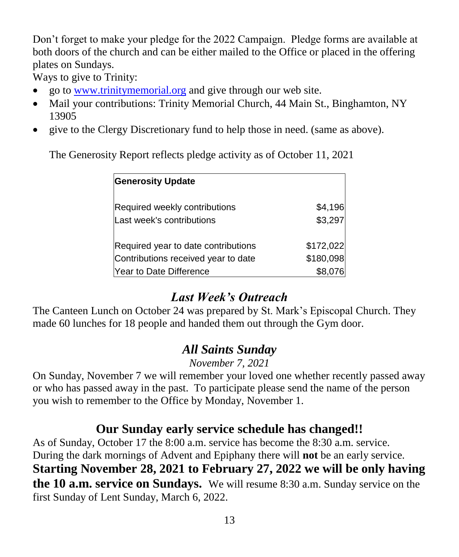Don't forget to make your pledge for the 2022 Campaign. Pledge forms are available at both doors of the church and can be either mailed to the Office or placed in the offering plates on Sundays.

Ways to give to Trinity:

- go to [www.trinitymemorial.org](http://www.trinitymemorial.org/) and give through our web site.
- Mail your contributions: Trinity Memorial Church, 44 Main St., Binghamton, NY 13905
- give to the Clergy Discretionary fund to help those in need. (same as above).

The Generosity Report reflects pledge activity as of October 11, 2021

| <b>Generosity Update</b>            |           |
|-------------------------------------|-----------|
| Required weekly contributions       | \$4,196   |
| Last week's contributions           | \$3,297   |
| Required year to date contributions | \$172,022 |
| Contributions received year to date | \$180,098 |
| Year to Date Difference             |           |

### *Last Week's Outreach*

The Canteen Lunch on October 24 was prepared by St. Mark's Episcopal Church. They made 60 lunches for 18 people and handed them out through the Gym door.

### *All Saints Sunday*

### *November 7, 2021*

On Sunday, November 7 we will remember your loved one whether recently passed away or who has passed away in the past. To participate please send the name of the person you wish to remember to the Office by Monday, November 1.

### **Our Sunday early service schedule has changed!!**

As of Sunday, October 17 the 8:00 a.m. service has become the 8:30 a.m. service. During the dark mornings of Advent and Epiphany there will **not** be an early service. **Starting November 28, 2021 to February 27, 2022 we will be only having the 10 a.m. service on Sundays.** We will resume 8:30 a.m. Sunday service on the first Sunday of Lent Sunday, March 6, 2022.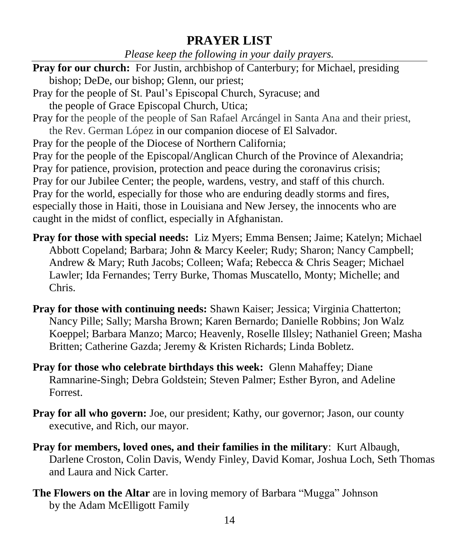### **PRAYER LIST**

*Please keep the following in your daily prayers.*

- **Pray for our church:** For Justin, archbishop of Canterbury; for Michael, presiding bishop; DeDe, our bishop; Glenn, our priest;
- Pray for the people of St. Paul's Episcopal Church, Syracuse; and the people of Grace Episcopal Church, Utica;
- Pray for the people of the people of San Rafael Arcángel in Santa Ana and their priest,
- the Rev. German López in our companion diocese of El Salvador.

Pray for the people of the Diocese of Northern California;

Pray for the people of the Episcopal/Anglican Church of the Province of Alexandria; Pray for patience, provision, protection and peace during the coronavirus crisis; Pray for our Jubilee Center; the people, wardens, vestry, and staff of this church. Pray for the world, especially for those who are enduring deadly storms and fires, especially those in Haiti, those in Louisiana and New Jersey, the innocents who are caught in the midst of conflict, especially in Afghanistan.

- **Pray for those with special needs:** Liz Myers; Emma Bensen; Jaime; Katelyn; Michael Abbott Copeland; Barbara; John & Marcy Keeler; Rudy; Sharon; Nancy Campbell; Andrew & Mary; Ruth Jacobs; Colleen; Wafa; Rebecca & Chris Seager; Michael Lawler; Ida Fernandes; Terry Burke, Thomas Muscatello, Monty; Michelle; and Chris.
- **Pray for those with continuing needs:** Shawn Kaiser; Jessica; Virginia Chatterton; Nancy Pille; Sally; Marsha Brown; Karen Bernardo; Danielle Robbins; Jon Walz Koeppel; Barbara Manzo; Marco; Heavenly, Roselle Illsley; Nathaniel Green; Masha Britten; Catherine Gazda; Jeremy & Kristen Richards; Linda Bobletz.
- **Pray for those who celebrate birthdays this week:** Glenn Mahaffey; Diane Ramnarine-Singh; Debra Goldstein; Steven Palmer; Esther Byron, and Adeline Forrest.
- **Pray for all who govern:** Joe, our president; Kathy, our governor; Jason, our county executive, and Rich, our mayor.
- **Pray for members, loved ones, and their families in the military**: Kurt Albaugh, Darlene Croston, Colin Davis, Wendy Finley, David Komar, Joshua Loch, Seth Thomas and Laura and Nick Carter.
- **The Flowers on the Altar** are in loving memory of Barbara "Mugga" Johnson by the Adam McElligott Family